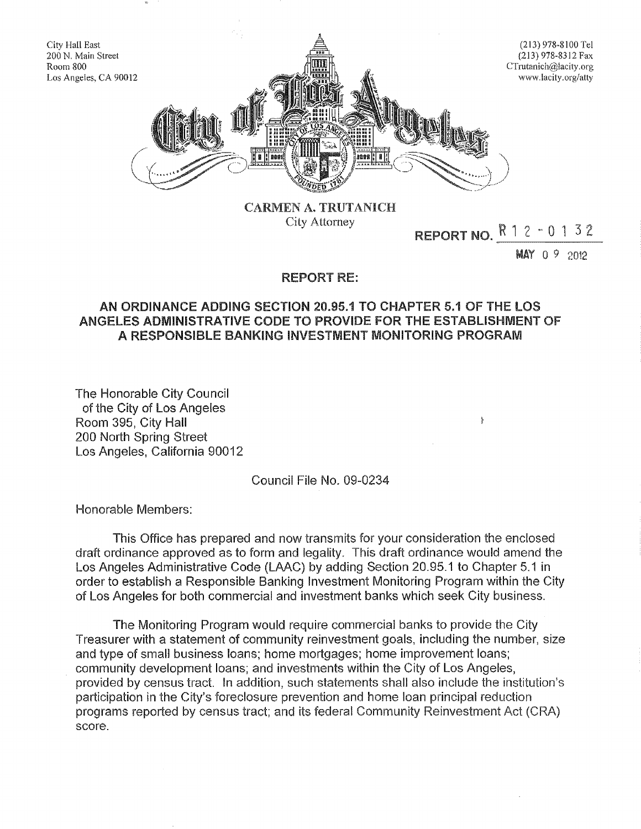

CARMEN A. TRUTANICH City Attorney

REPORT NO.  $R$  1 2 - 0 1 3 2

Ņ

MAY 0 9 2012

### REPORT RE:

# AN ORDINANCE ADDING SECTION 20.95.1 TO CHAPTER 5.1 OF THE lOS ANGELES ADMINISTRATIVE CODE TO PROVIDE FOR THE ESTABLISHMENT OF A RESPONSIBLE BANKING INVESTMENT MONITORING PROGRAM

The Honorable City Council of the City of Los Angeles Room 395, City Hall 200 North Spring Street Los Angeles, California 90012

#### Council File No. 09-0234

Honorable Members:

This Office has prepared and now transmits for your consideration the enclosed draft ordinance approved as to form and legality. This draft ordinance would amend the Los Angeles Administrative Code (LAAC) by adding Section 20.95.1 to Chapter 5.1 in order to establish a Responsible Banking Investment Monitoring Program within the City of Los Angeles for both commercial and investment banks which seek City business.

The Monitoring Program would require commercial banks to provide the City Treasurer with a statement of community reinvestment goals, including the number, size and type of small business loans; home mortgages; home improvement loans; community development loans; and investments within the City of Los Angeles, provided by census tract. In addition, such statements shall also include the institution's participation in the City's foreclosure prevention and home loan principal reduction programs reported by census tract; and its federal Community Reinvestment Act (CRA) score.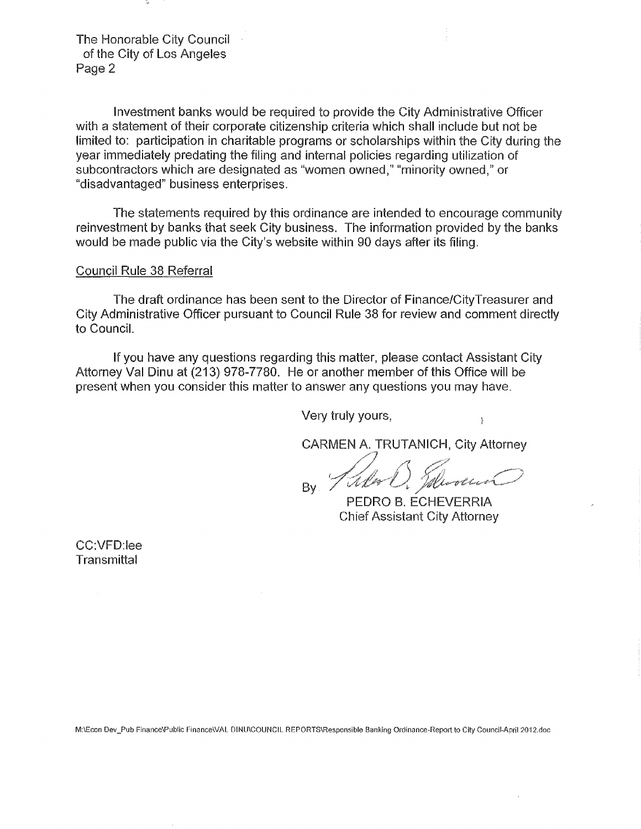The Honorable City Council of the City of Los Angeles Page 2

Investment banks would be required to provide the City Administrative Officer with a statement of their corporate citizenship criteria which shall include but not be limited to: participation in charitable programs or scholarships within the City during the year immediately predating the filing and internal policies regarding utilization of subcontractors which are designated as "women owned," "minority owned," or "disadvantaged" business enterprises.

The statements required by this ordinance are intended to encourage community reinvestment by banks that seek City business. The information provided by the banks would be made public via the City's website within 90 days after its filing.

#### Council Rule 38 Referral

The draft ordinance has been sent to the Director of Finance/CityTreasurer and City Administrative Officer pursuant to Council Rule 38 for review and comment directly to Council.

**If** you have any questions regarding this matter, please contact Assistant City Attorney Val Dinu at (213) 978-7780. He or another member of this Office will be present when you consider this matter to answer any questions you may have.

Very truly yours,

 $\frac{1}{2}$ 

CARMEN A. TRUTANICH, City Attorney<br>By *Aller* O. *Jalisbush* ~ / *Ii ;t6'/* -,~',! ~='~) *.f.~~ ',- -i/~* .4< 0"'/,- . *1/J, , r./* By *vi-V'? ~..~~+~.-t:~~4~\_/*

PEDRO B. ECHEVERRIA Chief Assistant City Attorney

CC:VFD:lee **Transmittal** 

M:IEcon Dev\_Pub FinancelPublic FinancelVAL OINUICOUNCIL REPORTSIResponsibie Banking Ordinance-Report to City COllncil-April2012.doc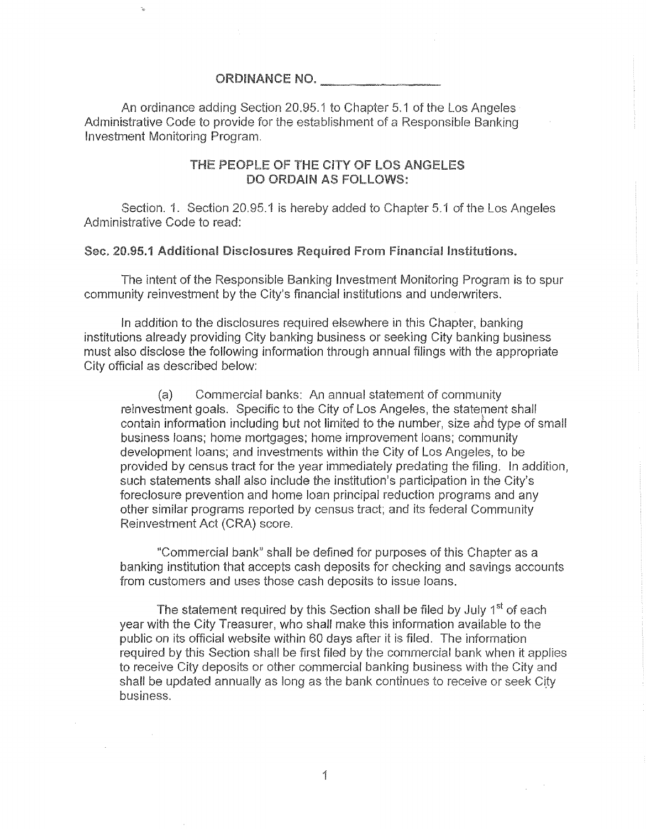#### ORDINANCE NO.

An ordinance adding Section 20.95.1 to Chapter 5.1 of the Los Angeles Administrative Code to provide for the establishment of a Responsible Banking Investment Monitoring Program.

## THE PEOPLE OF THE CITY OF LOS ANGELES DO ORDAIN AS FOLLOWS:

Section. 1. Section 20.95.1 is hereby added to Chapter 5.1 of the Los Angeles Administrative Code to read:

### Sec, 20.95.1 Additional Disclosures Required From Financial Institutions.

The intent of the Responsible Banking Investment Monitoring Program is to spur community reinvestment by the City's financial institutions and underwriters.

In addition to the disclosures required elsewhere in this Chapter, banking institutions already providing City banking business or seeking City banking business must also disclose the following information through annual filings with the appropriate City official as described below:

(8) Commercial banks: An annual statement of community reinvestment goals. Specific to the City of Los Angeles, the statement shall contain information including but not limited to the number, size *ahd* type of small business loans; home mortgages; home improvement loans; community development loans; and investments within the City of Los Angeles, to be provided by census tract for the year immediately predating the filing. In addition, such statements shall also include the institution's participation in the City's foreclosure prevention and home loan principal reduction programs and any other similar programs reported by census tract; and its federal Community Reinvestment Act (CRA) score.

"Commercial bank" shall be defined for purposes of this Chapter as a banking institution that accepts cash deposits for checking and savings accounts from customers and uses those cash deposits to issue loans.

The statement required by this Section shall be filed by July 1<sup>st</sup> of each year with the City Treasurer, who shall make this information available to the public on its official website within 60 days after it is filed. The information required by this Section shall be first filed by the commercial bank when it applies to receive City deposits or other commercial banking business with the City and shall be updated annually as long as the bank continues to receive or seek City business.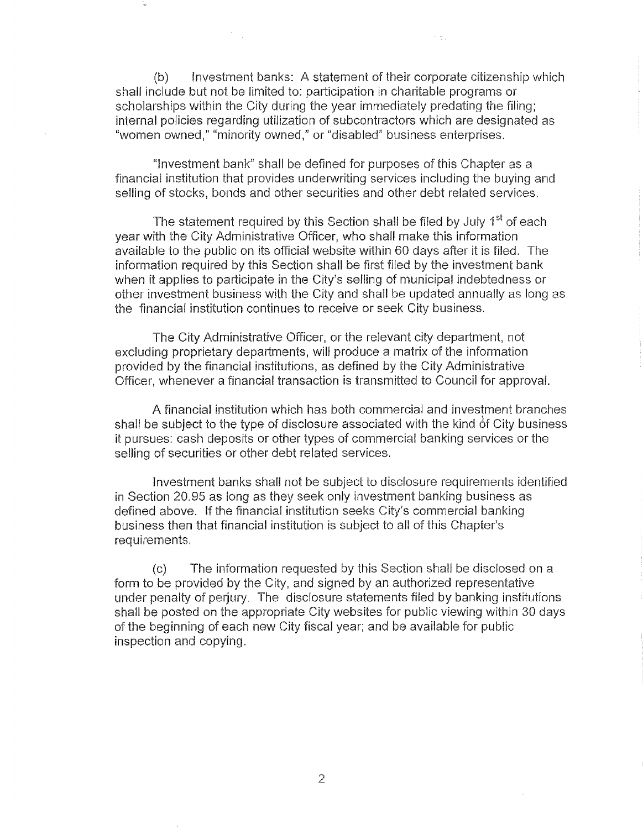(b) Investment banks: A statement of their corporate citizenship which shall include but not be limited to: participation in charitable programs or scholarships within the City during the year immediately predating the filing; internal policies regarding utilization of subcontractors which are designated as "women owned," "minority owned," or "disabled" business enterprises.

il no

"Investment bank" shall be defined for purposes of this Chapter as a financial institution that provides underwriting services including the buying and selling of stocks, bonds and other securities and other debt related services.

The statement required by this Section shall be filed by July 1<sup>st</sup> of each year with the City Administrative Officer, who shall make this information available to the public on its official website within 60 days after it is filed. The information required by this Section shall be first flied by the investment bank when it applies to participate in the City's selling of municipal indebtedness or other investment business with the City and shall be updated annually as long as the financial institution continues to receive or seek City business.

The City Administrative Officer, or the relevant city department, not excluding proprietary departments, will produce a matrix of the information provided by the financial institutions, as defined by the City Administrative Officer, whenever a financial transaction is transmitted to Council for approval.

A financial institution which has both commercial and investment branches shall be subject to the type of disclosure associated with the kind of City business it pursues: cash deposits or other types of commercial banking services or the selling of securities or other debt related services.

Investment banks shall not be subject to disclosure requirements identified in Section 20.95 as long as they seek only investment banking business as defined above. If the financial institution seeks City's commercial banking business then that financial institution is subject to all of this Chapter's requirements.

(c) The information requested by this Section shall be disclosed on a form to be provided by the City, and signed by an authorized representative under penalty of perjury. The disclosure statements filed by banking institutions shall be posted on the appropriate City websites for public viewing within 30 days of the beginning of each new City fiscal year; and be available for public inspection and copying.